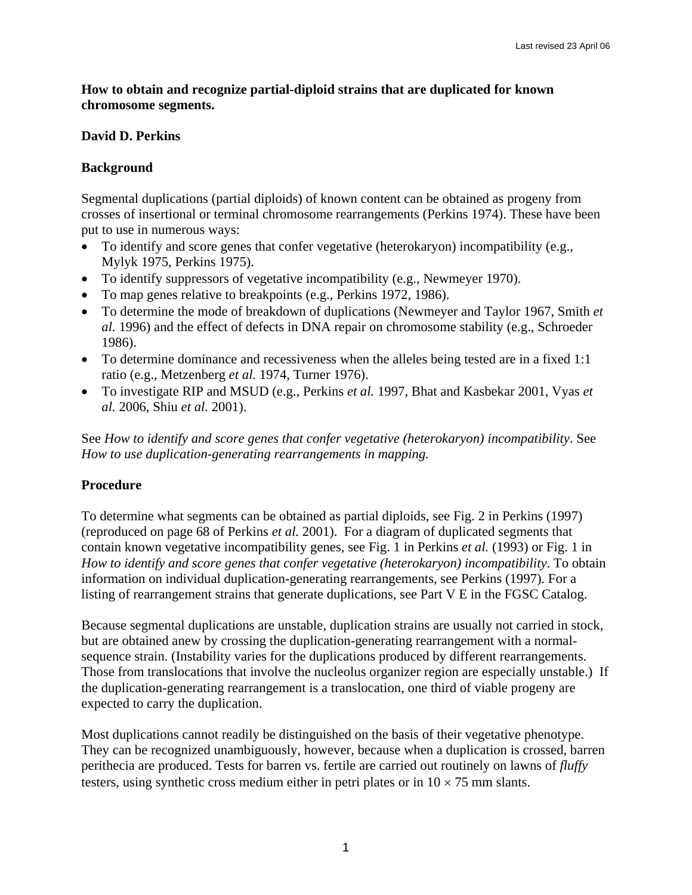#### **How to obtain and recognize partial-diploid strains that are duplicated for known chromosome segments.**

## **David D. Perkins**

## **Background**

Segmental duplications (partial diploids) of known content can be obtained as progeny from crosses of insertional or terminal chromosome rearrangements (Perkins 1974). These have been put to use in numerous ways:

- To identify and score genes that confer vegetative (heterokaryon) incompatibility (e.g., Mylyk 1975, Perkins 1975).
- To identify suppressors of vegetative incompatibility (e.g., Newmeyer 1970).
- To map genes relative to breakpoints (e.g., Perkins 1972, 1986).
- To determine the mode of breakdown of duplications (Newmeyer and Taylor 1967, Smith *et al.* 1996) and the effect of defects in DNA repair on chromosome stability (e.g., Schroeder 1986).
- To determine dominance and recessiveness when the alleles being tested are in a fixed 1:1 ratio (e.g., Metzenberg *et al.* 1974, Turner 1976).
- To investigate RIP and MSUD (e.g., Perkins *et al.* 1997, Bhat and Kasbekar 2001, Vyas *et al.* 2006, Shiu *et al.* 2001).

See *How to identify and score genes that confer vegetative (heterokaryon) incompatibility*. See *How to use duplication-generating rearrangements in mapping.* 

# **Procedure**

To determine what segments can be obtained as partial diploids, see Fig. 2 in Perkins (1997) (reproduced on page 68 of Perkins *et al.* 2001). For a diagram of duplicated segments that contain known vegetative incompatibility genes, see Fig. 1 in Perkins *et al.* (1993) or Fig. 1 in *How to identify and score genes that confer vegetative (heterokaryon) incompatibility*. To obtain information on individual duplication-generating rearrangements, see Perkins (1997). For a listing of rearrangement strains that generate duplications, see Part V E in the FGSC Catalog.

Because segmental duplications are unstable, duplication strains are usually not carried in stock, but are obtained anew by crossing the duplication-generating rearrangement with a normalsequence strain. (Instability varies for the duplications produced by different rearrangements. Those from translocations that involve the nucleolus organizer region are especially unstable.) If the duplication-generating rearrangement is a translocation, one third of viable progeny are expected to carry the duplication.

Most duplications cannot readily be distinguished on the basis of their vegetative phenotype. They can be recognized unambiguously, however, because when a duplication is crossed, barren perithecia are produced. Tests for barren vs. fertile are carried out routinely on lawns of *fluffy* testers, using synthetic cross medium either in petri plates or in  $10 \times 75$  mm slants.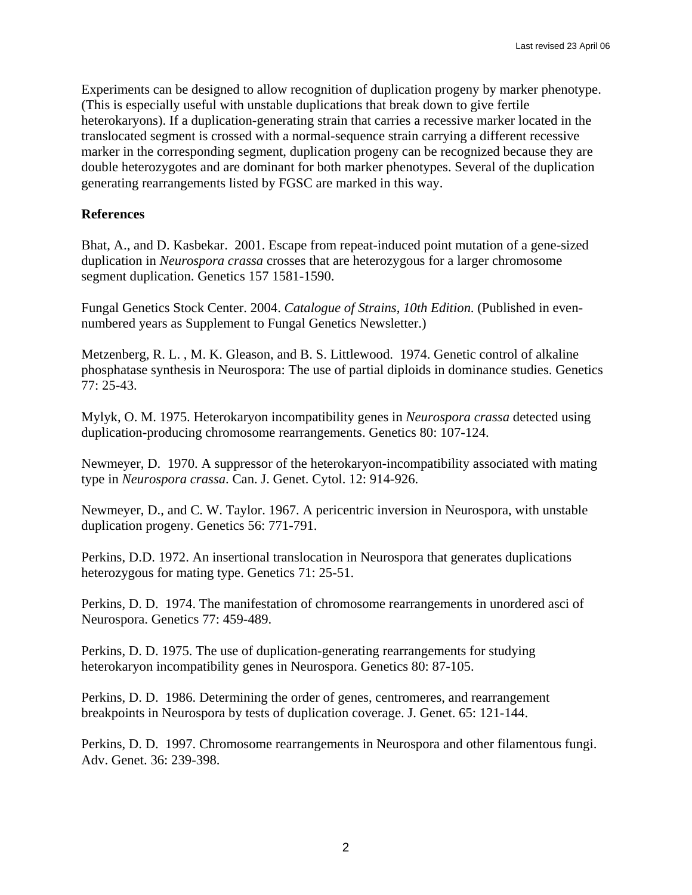Experiments can be designed to allow recognition of duplication progeny by marker phenotype. (This is especially useful with unstable duplications that break down to give fertile heterokaryons). If a duplication-generating strain that carries a recessive marker located in the translocated segment is crossed with a normal-sequence strain carrying a different recessive marker in the corresponding segment, duplication progeny can be recognized because they are double heterozygotes and are dominant for both marker phenotypes. Several of the duplication generating rearrangements listed by FGSC are marked in this way.

#### **References**

Bhat, A., and D. Kasbekar. 2001. Escape from repeat-induced point mutation of a gene-sized duplication in *Neurospora crassa* crosses that are heterozygous for a larger chromosome segment duplication. Genetics 157 1581-1590.

Fungal Genetics Stock Center. 2004. *Catalogue of Strains*, *10th Edition*. (Published in evennumbered years as Supplement to Fungal Genetics Newsletter.)

Metzenberg, R. L. , M. K. Gleason, and B. S. Littlewood. 1974. Genetic control of alkaline phosphatase synthesis in Neurospora: The use of partial diploids in dominance studies. Genetics 77: 25-43.

Mylyk, O. M. 1975. Heterokaryon incompatibility genes in *Neurospora crassa* detected using duplication-producing chromosome rearrangements. Genetics 80: 107-124.

Newmeyer, D. 1970. A suppressor of the heterokaryon-incompatibility associated with mating type in *Neurospora crassa*. Can. J. Genet. Cytol. 12: 914-926.

Newmeyer, D., and C. W. Taylor. 1967. A pericentric inversion in Neurospora, with unstable duplication progeny. Genetics 56: 771-791.

Perkins, D.D. 1972. An insertional translocation in Neurospora that generates duplications heterozygous for mating type. Genetics 71: 25-51.

Perkins, D. D. 1974. The manifestation of chromosome rearrangements in unordered asci of Neurospora. Genetics 77: 459-489.

Perkins, D. D. 1975. The use of duplication-generating rearrangements for studying heterokaryon incompatibility genes in Neurospora. Genetics 80: 87-105.

Perkins, D. D. 1986. Determining the order of genes, centromeres, and rearrangement breakpoints in Neurospora by tests of duplication coverage. J. Genet. 65: 121-144.

Perkins, D. D. 1997. Chromosome rearrangements in Neurospora and other filamentous fungi. Adv. Genet. 36: 239-398.